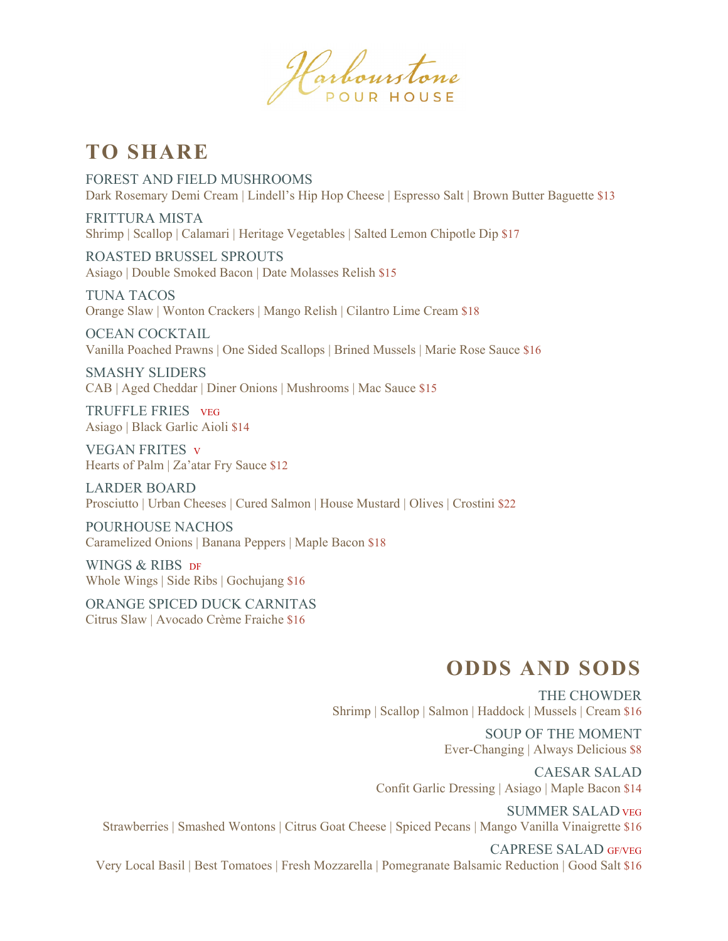Harbourstone

## **TO SHARE**

FOREST AND FIELD MUSHROOMS Dark Rosemary Demi Cream | Lindell's Hip Hop Cheese | Espresso Salt | Brown Butter Baguette \$13

FRITTURA MISTA Shrimp | Scallop | Calamari | Heritage Vegetables | Salted Lemon Chipotle Dip \$17

ROASTED BRUSSEL SPROUTS Asiago | Double Smoked Bacon | Date Molasses Relish \$15

TUNA TACOS Orange Slaw | Wonton Crackers | Mango Relish | Cilantro Lime Cream \$18

OCEAN COCKTAIL Vanilla Poached Prawns | One Sided Scallops | Brined Mussels | Marie Rose Sauce \$16

SMASHY SLIDERS CAB | Aged Cheddar | Diner Onions | Mushrooms | Mac Sauce \$15

TRUFFLE FRIES VEG Asiago | Black Garlic Aioli \$14

VEGAN FRITES V Hearts of Palm | Za'atar Fry Sauce \$12

LARDER BOARD Prosciutto | Urban Cheeses | Cured Salmon | House Mustard | Olives | Crostini \$22

POURHOUSE NACHOS Caramelized Onions | Banana Peppers | Maple Bacon \$18

WINGS & RIBS DF Whole Wings | Side Ribs | Gochujang \$16

ORANGE SPICED DUCK CARNITAS Citrus Slaw | Avocado Crème Fraiche \$16

## **ODDS AND SODS**

THE CHOWDER Shrimp | Scallop | Salmon | Haddock | Mussels | Cream \$16

> SOUP OF THE MOMENT Ever-Changing | Always Delicious \$8

CAESAR SALAD Confit Garlic Dressing | Asiago | Maple Bacon \$14

SUMMER SALAD VEG Strawberries | Smashed Wontons | Citrus Goat Cheese | Spiced Pecans | Mango Vanilla Vinaigrette \$16

CAPRESE SALAD GF/VEG Very Local Basil | Best Tomatoes | Fresh Mozzarella | Pomegranate Balsamic Reduction | Good Salt \$16